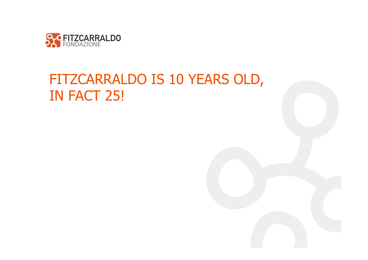

## FITZCARRALDO IS 10 YEARS OLD, IN FACT 25!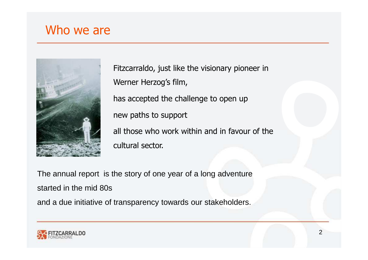## Who we are



Fitzcarraldo, just like the visionary pioneer in Werner Herzog's film, has accepted the challenge to open up new paths to support all those who work within and in favour of the cultural sector.

The annual report is the story of one year of a long adventurestarted in the mid 80s

and a due initiative of transparency towards our stakeholders.

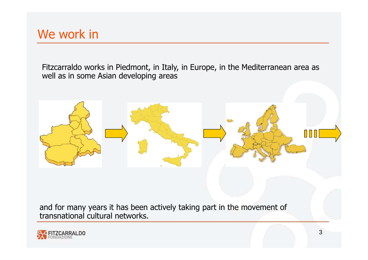Fitzcarraldo works in Piedmont, in Italy, in Europe, in the Mediterranean area as well as in some Asian developing areas



and for many years it has been actively taking part in the movement of transnational cultural networks.

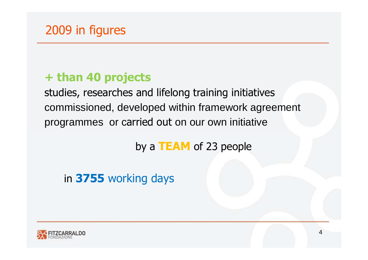### **+ than 40 projects**

studies, researches and lifelong training initiatives commissioned, developed within framework agreement programmes or carried out on our own initiative

# by a **TEAM** of 23 people

## in **3755** working days

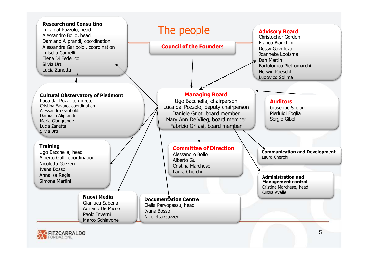

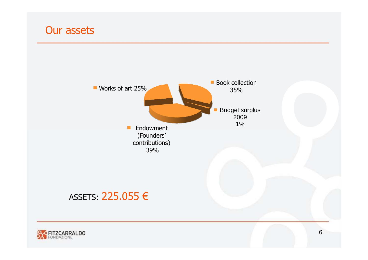## Our assets

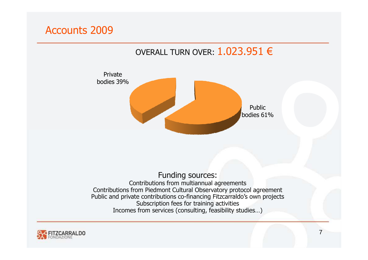#### Accounts 2009

#### OVERALL TURN OVER:  $1.023.951 \in$



#### Funding sources: Contributions from multiannual agreements Contributions from Piedmont Cultural Observatory protocol agreement Public and private contributions co-financing Fitzcarraldo's own projects Subscription fees for training activities Incomes from services (consulting, feasibility studies…)

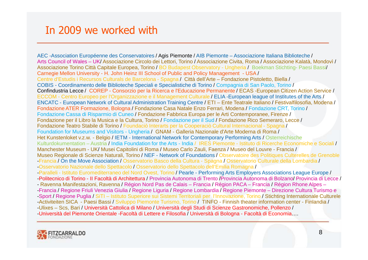#### In 2009 we worked with

AEC -Association Européenne des Conservatoires / Agis Piemonte / AIB Piemonte – Associazione Italiana Biblioteche / Arts Council of Wales – UK/ Associazione Circolo dei Lettori, Torino / Associazione Civita, Roma / Associazione Kalatà, Mondovì / Associazione Torino Città Capitale Europea, Torino / BO Budapest Observatory - Ungheria / Boekman Stichting- Paesi Bassi/ Carnegie Mellon University - H. John Heinz III School of Public and Policy Management - USA / Centre d'Estudis i Recursos Culturals de Barcelona - Spagna / Città dell'Arte – Fondazione Pistoletto, Biella / COBIS - Coordinamento delle Biblioteche Speciali e Specialistiche di Torino / Compagnia di San Paolo, Torino / Confindustria Lecce / COREP - Consorzio per la Ricerca e l'Educazione Permanente / ECAS -European Citizen Action Service / ECCOM - Centro Europeo per l'Organizzazione e il Management Culturale / ELIA -European league of Institutes of the Arts / ENCATC - European Network of Cultural Administration Training Centre / ETI – Ente Teatrale Italiano / Festivalfilosofia, Modena / Fondazione ATER Formazione, Bologna / Fondazione Casa Natale Enzo Ferrari, Modena / Fondazione CRT, Torino / Fondazione Cassa di Risparmio di Cuneo / Fondazione Fabbrica Europa per le Arti Contemporanee, Firenze / Fondazione per il Libro la Musica e la Cultura, Torino / Fondazione per il Sud / Fondazione Rico Semeraro, Lecce / Fondazione Teatro Stabile di Torino / Foundaciò Interarts per la Cooperaciò Cultural Internacional - Spagna / Foundation for Museums and Visitors - Ungheria / GNAM - Galleria Nazionale d'Arte Moderna di Roma / Het Kunstenloket v.z.w. - Belgio / IETM - International Network for Contemporary Performing Arts / Osterreichische Kulturdokumentation – Austria / India Foundation for the Arts - India / IRES Piemonte - Istituto di Ricerche Economiche e Sociali / Manchester Museum - UK/ Musei Capitolini di Roma / Museo Carlo Zauli, Faenza / Museo del Louvre - Francia / Museo Regionale di Scienze Naturali, Torino / NEF - Network of Foundations / Observatoire des Politiques Culterelles de Grenoble<br>-Francia / On the Move Association / Osservatorio Basco della Cultura - Spagna / Osservatorio -Francia / On the Move Association / Osservatorio Basco della Cultura - Spagna / Osservatorio Culturale della Lombardia /<br>- Osservatorio Nazionale dello Spettacolo / Osservatorio dello Spettacolo dell'Emilia Romagna /<br>- Pa -Paralleli - Istituto Euromediterraneo del Nord Ovest, Torino / Pearle - Performing Arts Employers Associations League Europe /<br>-Politecnico di Torino - Il Facoltà di Architettura / Provincia Autonoma di Trento /Provincia - Ravenna Manifestazioni, Ravenna / Région Nord Pas de Calais – Francia / Région PACA – Francia / Région Rhone Alpes –-Francia / Regione Friuli Venezia Giulia / Regione Liguria / Regione Lombardia / Regione Piemonte – Direzione Cultura Turismo e -Sport / Regione Puglia / SiTI – Istituto Superiore sui Sistemi Territoriali per l'Innovazione, Torino / Stichting Internationale Culturele -Activiteiten SICA - Paesi Bassi / Sviluppo Piemonte Turismo, Torino / TINFO - Finnish theater information center - Finlandia /<br>-Ulixes – Scs. Bari / Università Cattolica di Milano / Università degli Studi di Scienze Gastr / -Università del Piemonte Orientale -Facoltà di Lettere e Filosofia / Università di Bologna - Facoltà di Economia….

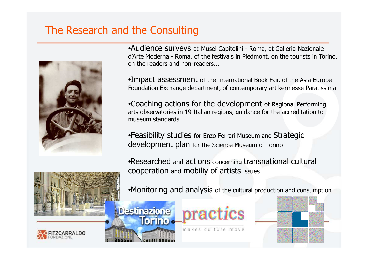#### The Research and the Consulting



•Audience surveys at Musei Capitolini - Roma, at Galleria Nazionale d'Arte Moderna - Roma, of the festivals in Piedmont, on the tourists in Torino, on the readers and non-readers...

 $\bullet$ Impact assessment of the International Book Fair, of the Asia Europe<br>Foundation Exchange department, of contemporary art kermesse Paratissim Foundation Exchange department, of contemporary art kermesse Paratissima

•Coaching actions for the development of Regional Performing arts observatories in 19 Italian regions, guidance for the accreditation to museum standards

•Feasibility studies for Enzo Ferrari Museum and Strategic development plan for the Science Museum of Torino

practics

makes culture move

•Researched and actions concerning transnational cultural<br>cooperation and mobiliv of artists issues cooperation and mobiliy of artists issues





•Monitoring and analysis of the cultural production and consumption

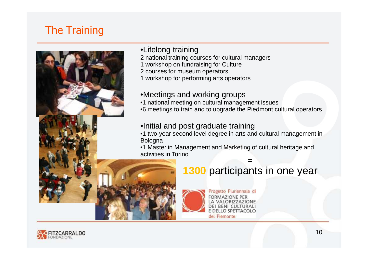### The Training



#### •Lifelong training

- 2 national training courses for cultural managers
- 1 workshop on fundraising for Culture
- 2 courses for museum operators
- 1 workshop for performing arts operators

#### •Meetings and working groups

- •1 national meeting on cultural management issues
- •6 meetings to train and to upgrade the Piedmont cultural operators

#### •Initial and post graduate training

- •1 two-year second level degree in arts and cultural management in Bologna
- •1 Master in Management and Marketing of cultural heritage and activities in Torino

## **1300** participants in one year

=



Progetto Pluriennale di **FORMAZIONE PER** LA VALORIZZAZIONE DEI BENI CULTURALI E DELLO SPETTACOLO del Piemonte

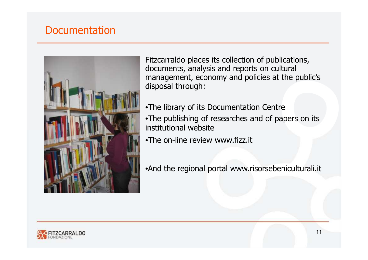#### **Documentation**



Fitzcarraldo places its collection of publications, documents, analysis and reports on cultural management, economy and policies at the public's disposal through:

•The library of its Documentation Centre •The publishing of researches and of papers on its institutional website•The on-line review www.fizz.it

•And the regional portal www.risorsebeniculturali.it

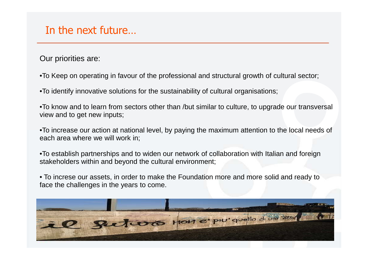#### In the next future…

Our priorities are:

•To Keep on operating in favour of the professional and structural growth of cultural sector;

•To identify innovative solutions for the sustainability of cultural organisations;

•To know and to learn from sectors other than /but similar to culture, to upgrade our transversal view and to get new inputs;

•To increase our action at national level, by paying the maximum attention to the local needs of each area where we will work in;

•To establish partnerships and to widen our network of collaboration with Italian and foreignstakeholders within and beyond the cultural environment;

• To increse our assets, in order to make the Foundation more and more solid and ready toface the challenges in the years to come.